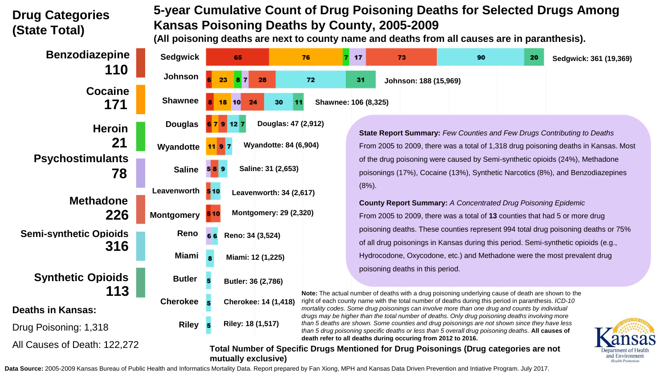## **Drug Categories (State Total)**

## **5-year Cumulative Count of Drug Poisoning Deaths for Selected Drugs Among Kansas Poisoning Deaths by County, 2005-2009**

**(All poisoning deaths are next to county name and deaths from all causes are in paranthesis).**

| <b>Benzodiazepine</b>                | <b>Sedgwick</b>                                                                                                                                                                                                          | 65                                                                                                                                                                                                                                                                                                                                        | 76                           | 17                                                                                                                                                                    | 73                                                                       | 90 | 20 | Sedgwick: 361 (19,369)                                                             |  |  |
|--------------------------------------|--------------------------------------------------------------------------------------------------------------------------------------------------------------------------------------------------------------------------|-------------------------------------------------------------------------------------------------------------------------------------------------------------------------------------------------------------------------------------------------------------------------------------------------------------------------------------------|------------------------------|-----------------------------------------------------------------------------------------------------------------------------------------------------------------------|--------------------------------------------------------------------------|----|----|------------------------------------------------------------------------------------|--|--|
| 110                                  | Johnson                                                                                                                                                                                                                  | 28                                                                                                                                                                                                                                                                                                                                        | 72                           | 31                                                                                                                                                                    | Johnson: 188 (15,969)                                                    |    |    |                                                                                    |  |  |
| <b>Cocaine</b><br>171                | <b>Shawnee</b>                                                                                                                                                                                                           | 24<br>10                                                                                                                                                                                                                                                                                                                                  | Shawnee: 106 (8,325)<br>30   |                                                                                                                                                                       |                                                                          |    |    |                                                                                    |  |  |
| <b>Heroin</b>                        | <b>Douglas</b>                                                                                                                                                                                                           | 127                                                                                                                                                                                                                                                                                                                                       | Douglas: 47 (2,912)          |                                                                                                                                                                       |                                                                          |    |    |                                                                                    |  |  |
| 21                                   | Wyandotte                                                                                                                                                                                                                |                                                                                                                                                                                                                                                                                                                                           | <b>Wyandotte: 84 (6,904)</b> | <b>State Report Summary: Few Counties and Few Drugs Contributing to Deaths</b><br>From 2005 to 2009, there was a total of 1,318 drug poisoning deaths in Kansas. Most |                                                                          |    |    |                                                                                    |  |  |
| <b>Psychostimulants</b><br>78        | <b>Saline</b>                                                                                                                                                                                                            | Saline: 31 (2,653)                                                                                                                                                                                                                                                                                                                        |                              | of the drug poisoning were caused by Semi-synthetic opioids (24%), Methadone<br>poisonings (17%), Cocaine (13%), Synthetic Narcotics (8%), and Benzodiazepines        |                                                                          |    |    |                                                                                    |  |  |
| <b>Methadone</b><br>226              | Leavenworth                                                                                                                                                                                                              | 510                                                                                                                                                                                                                                                                                                                                       | Leavenworth: 34 (2,617)      | $(8%)$ .                                                                                                                                                              |                                                                          |    |    |                                                                                    |  |  |
|                                      | <b>Montgomery</b>                                                                                                                                                                                                        | <b>County Report Summary: A Concentrated Drug Poisoning Epidemic</b><br>Montgomery: 29 (2,320)<br>From 2005 to 2009, there was a total of 13 counties that had 5 or more drug                                                                                                                                                             |                              |                                                                                                                                                                       |                                                                          |    |    |                                                                                    |  |  |
| <b>Semi-synthetic Opioids</b><br>316 | Reno                                                                                                                                                                                                                     | Reno: 34 (3,524)                                                                                                                                                                                                                                                                                                                          |                              |                                                                                                                                                                       |                                                                          |    |    | poisoning deaths. These counties represent 994 total drug poisoning deaths or 75%  |  |  |
|                                      | Miami                                                                                                                                                                                                                    | Miami: 12 (1,225)                                                                                                                                                                                                                                                                                                                         |                              |                                                                                                                                                                       | Hydrocodone, Oxycodone, etc.) and Methadone were the most prevalent drug |    |    | of all drug poisonings in Kansas during this period. Semi-synthetic opioids (e.g., |  |  |
| <b>Synthetic Opioids</b>             | <b>Butler</b>                                                                                                                                                                                                            | Butler: 36 (2,786)                                                                                                                                                                                                                                                                                                                        |                              |                                                                                                                                                                       | poisoning deaths in this period.                                         |    |    |                                                                                    |  |  |
| 113<br><b>Deaths in Kansas:</b>      | <b>Cherokee</b>                                                                                                                                                                                                          | Note: The actual number of deaths with a drug poisoning underlying cause of death are shown to the<br>right of each county name with the total number of deaths during this period in paranthesis. ICD-10<br><b>Cherokee: 14 (1,418)</b><br>mortality codes. Some drug poisonings can involve more than one drug and counts by individual |                              |                                                                                                                                                                       |                                                                          |    |    |                                                                                    |  |  |
| Drug Poisoning: 1,318                | Riley 5                                                                                                                                                                                                                  | drugs may be higher than the total number of deaths. Only drug poisoning deaths involving more<br>Riley: 18 (1,517)<br>than 5 deaths are shown. Some counties and drug poisonings are not shown since they have less<br>than 5 drug poisoning specific deaths or less than 5 overall drug poisoning deaths. All causes of                 |                              |                                                                                                                                                                       |                                                                          |    |    |                                                                                    |  |  |
| All Causes of Death: 122,272         | death refer to all deaths during occuring from 2012 to 2016.<br>Total Number of Specific Drugs Mentioned for Drug Poisonings (Drug categories are not<br>and Environme<br>mutually exclusive)<br><b>Health Promotion</b> |                                                                                                                                                                                                                                                                                                                                           |                              |                                                                                                                                                                       |                                                                          |    |    |                                                                                    |  |  |

Data Source: 2005-2009 Kansas Bureau of Public Health and Informatics Mortality Data. Report prepared by Fan Xiong, MPH and Kansas Data Driven Prevention and Intiative Program. July 2017.